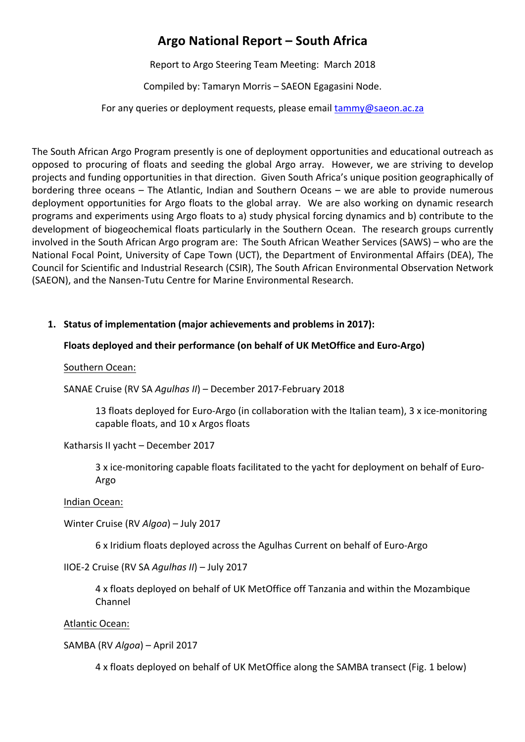# **Argo National Report – South Africa**

Report to Argo Steering Team Meeting: March 2018

Compiled by: Tamaryn Morris - SAEON Egagasini Node.

For any queries or deployment requests, please email  $\frac{1}{\text{tammy}}$ @saeon.ac.za

The South African Argo Program presently is one of deployment opportunities and educational outreach as opposed to procuring of floats and seeding the global Argo array. However, we are striving to develop projects and funding opportunities in that direction. Given South Africa's unique position geographically of bordering three oceans  $-$  The Atlantic, Indian and Southern Oceans  $-$  we are able to provide numerous deployment opportunities for Argo floats to the global array. We are also working on dynamic research programs and experiments using Argo floats to a) study physical forcing dynamics and b) contribute to the development of biogeochemical floats particularly in the Southern Ocean. The research groups currently involved in the South African Argo program are: The South African Weather Services (SAWS) – who are the National Focal Point, University of Cape Town (UCT), the Department of Environmental Affairs (DEA), The Council for Scientific and Industrial Research (CSIR), The South African Environmental Observation Network (SAEON), and the Nansen-Tutu Centre for Marine Environmental Research.

# 1. Status of implementation (major achievements and problems in 2017):

## Floats deployed and their performance (on behalf of UK MetOffice and Euro-Argo)

Southern Ocean:

SANAE Cruise (RV SA *Agulhas II*) – December 2017-February 2018

13 floats deployed for Euro-Argo (in collaboration with the Italian team), 3 x ice-monitoring capable floats, and 10 x Argos floats

Katharsis II yacht - December 2017

3 x ice-monitoring capable floats facilitated to the yacht for deployment on behalf of Euro-Argo

Indian Ocean:

Winter Cruise (RV *Algoa*) – July 2017

6 x Iridium floats deployed across the Agulhas Current on behalf of Euro-Argo

IIOE-2 Cruise (RV SA *Agulhas II*) - July 2017

4 x floats deployed on behalf of UK MetOffice off Tanzania and within the Mozambique Channel

Atlantic Ocean:

SAMBA (RV *Algoa*) – April 2017

4 x floats deployed on behalf of UK MetOffice along the SAMBA transect (Fig. 1 below)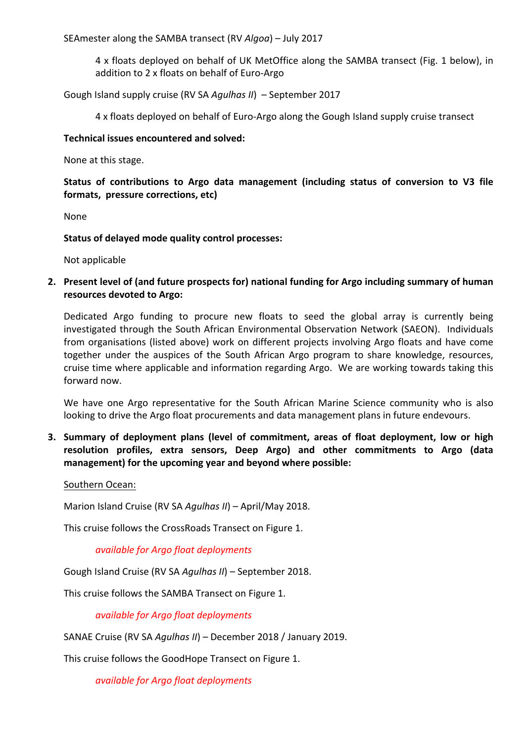SEAmester along the SAMBA transect (RV *Algoa*) – July 2017

4 x floats deployed on behalf of UK MetOffice along the SAMBA transect (Fig. 1 below), in addition to 2 x floats on behalf of Euro-Argo

Gough Island supply cruise (RV SA *Agulhas II*) - September 2017

4 x floats deployed on behalf of Euro-Argo along the Gough Island supply cruise transect

## **Technical issues encountered and solved:**

None at this stage.

Status of contributions to Argo data management (including status of conversion to V3 file **formats, pressure corrections, etc)** 

None

**Status of delayed mode quality control processes:** 

Not applicable

**2.** Present level of (and future prospects for) national funding for Argo including summary of human **resources devoted to Argo:**

Dedicated Argo funding to procure new floats to seed the global array is currently being investigated through the South African Environmental Observation Network (SAEON). Individuals from organisations (listed above) work on different projects involving Argo floats and have come together under the auspices of the South African Argo program to share knowledge, resources, cruise time where applicable and information regarding Argo. We are working towards taking this forward now.

We have one Argo representative for the South African Marine Science community who is also looking to drive the Argo float procurements and data management plans in future endevours.

**3.** Summary of deployment plans (level of commitment, areas of float deployment, low or high resolution profiles, extra sensors, Deep Argo) and other commitments to Argo (data management) for the upcoming year and beyond where possible:

Southern Ocean:

Marion Island Cruise (RV SA *Agulhas II*) – April/May 2018.

This cruise follows the CrossRoads Transect on Figure 1.

*available for Argo float deployments*

Gough Island Cruise (RV SA *Agulhas II*) – September 2018.

This cruise follows the SAMBA Transect on Figure 1.

*available for Argo float deployments*

SANAE Cruise (RV SA *Agulhas II*) – December 2018 / January 2019.

This cruise follows the GoodHope Transect on Figure 1.

*available for Argo float deployments*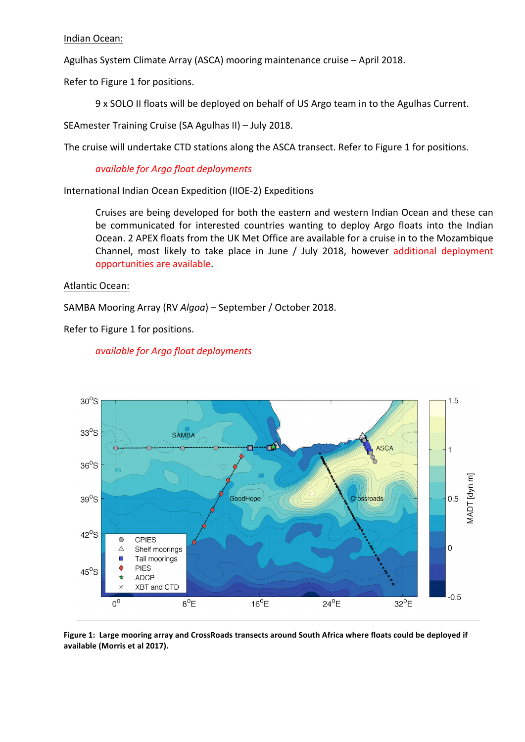#### Indian Ocean:

Agulhas System Climate Array (ASCA) mooring maintenance cruise - April 2018.

Refer to Figure 1 for positions.

9 x SOLO II floats will be deployed on behalf of US Argo team in to the Agulhas Current.

SEAmester Training Cruise (SA Agulhas II) - July 2018.

The cruise will undertake CTD stations along the ASCA transect. Refer to Figure 1 for positions.

*available for Argo float deployments*

International Indian Ocean Expedition (IIOE-2) Expeditions

Cruises are being developed for both the eastern and western Indian Ocean and these can be communicated for interested countries wanting to deploy Argo floats into the Indian Ocean. 2 APEX floats from the UK Met Office are available for a cruise in to the Mozambique Channel, most likely to take place in June / July 2018, however additional deployment opportunities are available.

#### Atlantic Ocean:

SAMBA Mooring Array (RV *Algoa*) – September / October 2018.

Refer to Figure 1 for positions.



### *available for Argo float deployments*

Figure 1: Large mooring array and CrossRoads transects around South Africa where floats could be deployed if available (Morris et al 2017).